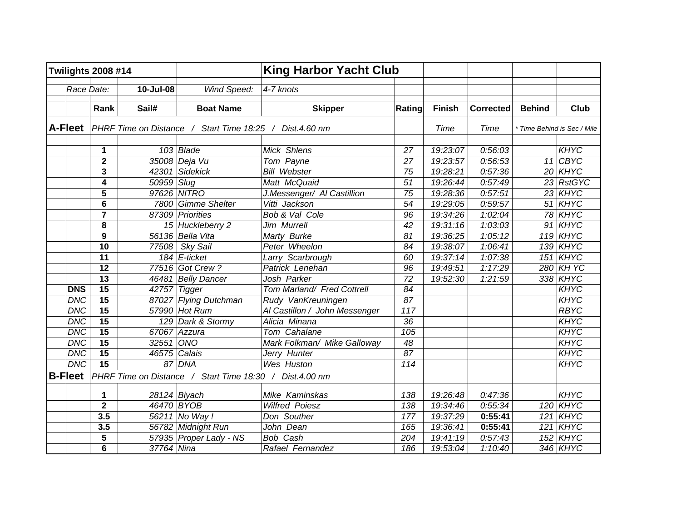| <b>Twilights 2008 #14</b> |                         | <b>King Harbor Yacht Club</b> |                                                                 |                               |        |               |                  |               |                             |
|---------------------------|-------------------------|-------------------------------|-----------------------------------------------------------------|-------------------------------|--------|---------------|------------------|---------------|-----------------------------|
| Race Date:                |                         | 10-Jul-08                     | Wind Speed:                                                     | 4-7 knots                     |        |               |                  |               |                             |
|                           | Rank                    | Sail#                         | <b>Boat Name</b>                                                | <b>Skipper</b>                | Rating | <b>Finish</b> | <b>Corrected</b> | <b>Behind</b> | <b>Club</b>                 |
|                           |                         |                               | A-Fleet PHRF Time on Distance / Start Time 18:25 / Dist.4.60 nm |                               |        | Time          | Time             |               | * Time Behind is Sec / Mile |
|                           | 1                       |                               | $103$ Blade                                                     | Mick Shlens                   | 27     | 19:23:07      | 0:56:03          |               | <b>KHYC</b>                 |
|                           | $\mathbf 2$             |                               | 35008 Deja Vu                                                   | Tom Payne                     | 27     | 19:23:57      | 0:56:53          |               | $11$ CBYC                   |
|                           | 3                       | 42301                         | <b>Sidekick</b>                                                 | <b>Bill Webster</b>           | 75     | 19:28:21      | 0:57:36          |               | 20 KHYC                     |
|                           | 4                       | 50959                         | Slug                                                            | Matt McQuaid                  | 51     | 19:26:44      | 0:57:49          |               | 23 RstGYC                   |
|                           | 5                       |                               | 97626 NITRO                                                     | J.Messenger/ AI Castillion    | 75     | 19:28:36      | 0:57:51          |               | 23 KHYC                     |
|                           | 6                       | 7800                          | <b>Gimme Shelter</b>                                            | Vitti Jackson                 | 54     | 19:29:05      | 0:59:57          |               | $51$ KHYC                   |
|                           | 7                       | 87309                         | Priorities                                                      | Bob & Val Cole                | 96     | 19:34:26      | 1:02:04          |               | 78 KHYC                     |
|                           | 8                       |                               | 15 Huckleberry 2                                                | Jim Murrell                   | 42     | 19:31:16      | 1:03:03          |               | $91$ KHYC                   |
|                           | 9                       |                               | 56136 Bella Vita                                                | Marty Burke                   | 81     | 19:36:25      | 1:05:12          |               | <b>119 KHYC</b>             |
|                           | 10                      | 77508                         | Sky Sail                                                        | Peter Wheelon                 | 84     | 19:38:07      | 1:06:41          |               | 139 KHYC                    |
|                           | 11                      |                               | $184$ E-ticket                                                  | Larry Scarbrough              | 60     | 19:37:14      | 1:07:38          |               | <b>151 KHYC</b>             |
|                           | 12                      |                               | 77516 Got Crew?                                                 | Patrick Lenehan               | 96     | 19:49:51      | 1:17:29          |               | 280 KH YC                   |
|                           | 13                      | 46481                         | <b>Belly Dancer</b>                                             | Josh Parker                   | 72     | 19:52:30      | 1:21:59          |               | 338 KHYC                    |
| <b>DNS</b>                | 15                      | 42757                         | <b>Tigger</b>                                                   | Tom Marland/ Fred Cottrell    | 84     |               |                  |               | <b>KHYC</b>                 |
| <b>DNC</b>                | 15                      | 87027                         | <b>Flying Dutchman</b>                                          | Rudy VanKreuningen            | 87     |               |                  |               | KHYC                        |
| <b>DNC</b>                | 15                      |                               | 57990 Hot Rum                                                   | Al Castillon / John Messenger | 117    |               |                  |               | <b>RBYC</b>                 |
| <b>DNC</b>                | $\overline{15}$         |                               | 129 Dark & Stormy                                               | Alicia Minana                 | 36     |               |                  |               | <b>KHYC</b>                 |
| <b>DNC</b>                | 15                      | 67067                         | Azzura                                                          | Tom Cahalane                  | 105    |               |                  |               | <b>KHYC</b>                 |
| <b>DNC</b>                | 15                      | 32551                         | ONO                                                             | Mark Folkman/ Mike Galloway   | 48     |               |                  |               | <b>KHYC</b>                 |
| <b>DNC</b>                | 15                      |                               | 46575 Calais                                                    | Jerry Hunter                  | 87     |               |                  |               | <b>KHYC</b>                 |
| <b>DNC</b>                | $\overline{15}$         |                               | 87 DNA                                                          | Wes Huston                    | 114    |               |                  |               | <b>KHYC</b>                 |
| <b>B-Fleet</b>            |                         |                               | PHRF Time on Distance / Start Time 18:30 / Dist.4.00 nm         |                               |        |               |                  |               |                             |
|                           | 1                       |                               | 28124 Biyach                                                    | Mike Kaminskas                | 138    | 19:26:48      | 0:47:36          |               | <b>KHYC</b>                 |
|                           | $\overline{\mathbf{2}}$ |                               | 46470 BYOB                                                      | <b>Wilfred Poiesz</b>         | 138    | 19:34:46      | 0:55:34          |               | $120$ KHYC                  |
|                           | 3.5                     | 56211                         | $\overline{N}$ o Way !                                          | Don Souther                   | 177    | 19:37:29      | 0:55:41          |               | $121$ KHYC                  |
|                           | 3.5                     |                               | 56782 Midnight Run                                              | John Dean                     | 165    | 19:36:41      | 0:55:41          |               | $121$ KHYC                  |
|                           | 5                       |                               | 57935 Proper Lady - NS                                          | Bob Cash                      | 204    | 19:41:19      | 0:57:43          |               | $152$ KHYC                  |
|                           | 6                       | 37764 Nina                    |                                                                 | Rafael Fernandez              | 186    | 19:53:04      | 1:10:40          |               | 346 KHYC                    |